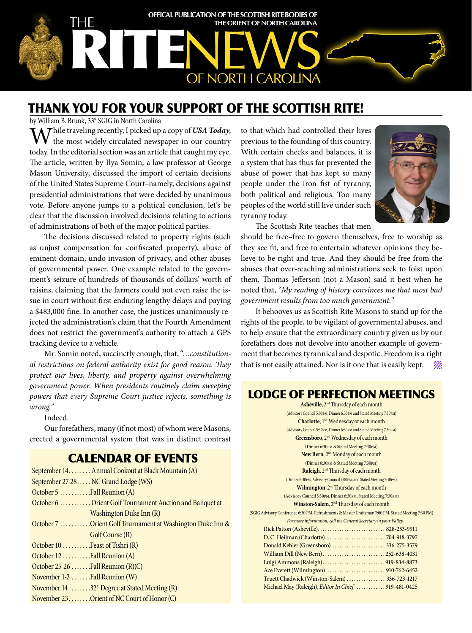

# THANK YOU FOR YOUR SUPPORT OF THE SCOTTISH RITE!

by William B. Brunk, 33° SGIG in North Carolina

**A** Thile traveling recently, I picked up a copy of USA Today, the most widely circulated newspaper in our country today. In the editorial section was an article that caught my eye. The article, written by Ilya Somin, a law professor at George Mason University, discussed the import of certain decisions of the United States Supreme Court–namely, decisions against presidential administrations that were decided by unanimous vote. Before anyone jumps to a political conclusion, let's be clear that the discussion involved decisions relating to actions of administrations of both of the major political parties.

The decisions discussed related to property rights (such as unjust compensation for confiscated property), abuse of eminent domain, undo invasion of privacy, and other abuses of governmental power. One example related to the government's seizure of hundreds of thousands of dollars' worth of raisins, claiming that the farmers could not even raise the issue in court without first enduring lengthy delays and paying a \$483,000 fine. In another case, the justices unanimously rejected the administration's claim that the Fourth Amendment does not restrict the government's authority to attach a GPS tracking device to a vehicle.

Mr. Somin noted, succinctly enough, that, "*…constitutional restrictions on federal authority exist for good reason. They protect our lives, liberty, and property against overwhelming government power. When presidents routinely claim sweeping powers that every Supreme Court justice rejects, something is wrong."*

Indeed.

Our forefathers, many (if not most) of whom were Masons, erected a governmental system that was in distinct contrast

## CALENDAR OF EVENTS

| September 14. Annual Cookout at Black Mountain (A)        |
|-----------------------------------------------------------|
| September 27-28 NC Grand Lodge (WS)                       |
| October 5 Fall Reunion $(A)$                              |
| October 6  Orient Golf Tournament Auction and Banquet at  |
| Washington Duke Inn (R)                                   |
| October 7 Orient Golf Tournament at Washington Duke Inn & |
| Golf Course (R)                                           |
| October 10  Feast of Tishri (R)                           |
| October 12 Fall Reunion (A)                               |
| October $25-26$ Fall Reunion (R)(C)                       |
| November $1-2$ Fall Reunion (W)                           |
| November 14 32° Degree at Stated Meeting (R)              |
| November 23 Orient of NC Court of Honor (C)               |
|                                                           |

to that which had controlled their lives previous to the founding of this country. With certain checks and balances, it is a system that has thus far prevented the abuse of power that has kept so many people under the iron fist of tyranny, both political and religious. Too many peoples of the world still live under such tyranny today.



The Scottish Rite teaches that men

should be free–free to govern themselves, free to worship as they see fit, and free to entertain whatever opinions they believe to be right and true. And they should be free from the abuses that over-reaching administrations seek to foist upon them. Thomas Jefferson (not a Mason) said it best when he noted that, "*My reading of history convinces me that most bad government results from too much government."*

It behooves us as Scottish Rite Masons to stand up for the rights of the people, to be vigilant of governmental abuses, and to help ensure that the extraordinary country given us by our forefathers does not devolve into another example of government that becomes tyrannical and despotic. Freedom is a right that is not easily attained. Nor is it one that is easily kept.  $\mathscr{W}_{\ell k}$ 

### LODGE OF PERFECTION MEETINGS

| <b>Asheville, 2<sup>nd</sup> Thursday of each month</b>                                             |  |  |
|-----------------------------------------------------------------------------------------------------|--|--|
| (Advisory Council 5:00pm, Dinner 6:30pm and Stated Meeting 7:30pm)                                  |  |  |
| Charlotte, 1 <sup>ST</sup> Wednesday of each month                                                  |  |  |
| (Advisory Council 5:30PM, Dinner 6:30PM and Stated Meeting 7:30PM)                                  |  |  |
| Greensboro, 2 <sup>nd</sup> Wednesday of each month                                                 |  |  |
| (Dinner 6:30PM & Stated Meeting 7:30PM)                                                             |  |  |
| New Bern, 2 <sup>nd</sup> Monday of each month                                                      |  |  |
| (Dinner 6:30PM & Stated Meeting 7:30PM)                                                             |  |  |
| Raleigh, 2 <sup>nd</sup> Thursday of each month                                                     |  |  |
| (Dinner 6:30PM, Advisory Council 7:00PM, and Stated Meeting 7:30PM)                                 |  |  |
| Wilmington, 2 <sup>nd</sup> Thursday of each month                                                  |  |  |
| (Advisory Council 5:30PM, Dinner 6:30PM, Stated Meeting 7:30PM)                                     |  |  |
| Winston-Salem, 2 <sup>nd</sup> Thursday of each month                                               |  |  |
| (SGIG Advisory Conference 6:30 PM, Refreshments & Master Craftsman 7:00 PM, Stated Meeting 7:30 PM) |  |  |
| For more information, call the General Secretary in your Valley                                     |  |  |
|                                                                                                     |  |  |
|                                                                                                     |  |  |
| Donald Kehler (Greensboro)  336-275-3579                                                            |  |  |
| William Dill (New Bern)252-638-4031                                                                 |  |  |
| Luigi Ammons (Raleigh)919-834-8873                                                                  |  |  |
|                                                                                                     |  |  |
| Truett Chadwick (Winston-Salem)  336-723-1217                                                       |  |  |
| Michael May (Raleigh), Editor In Chief  919-481-0425                                                |  |  |
|                                                                                                     |  |  |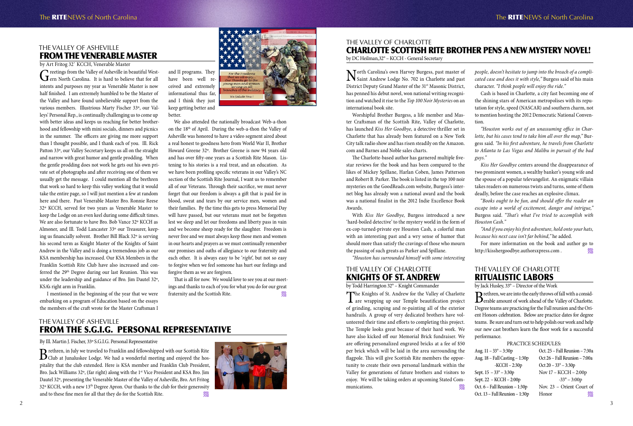THE VALLEY OF ASHEVILLE

by Art Fritog 32˚ KCCH, Venerable Master

Greetings from the Valley of Asheville in beautiful West-<br>Gern North Carolina. It is hard to believe that for all intents and purposes my year as Venerable Master is now half finished. I am extremely humbled to be the Master of the Valley and have found unbelievable support from the various members. Illustrious Marty Fischer 33º, our Valleys' Personal Rep., is continually challenging us to come up with better ideas and keeps us reaching for better brotherhood and fellowship with mini socials, dinners and picnics in the summer. The officers are giving me more support than I thought possible, and I thank each of you. Ill. Rick Patton 33º, our Valley Secretary keeps us all on the straight and narrow with great humor and gentle prodding. When the gentle prodding does not work he gets out his own private set of photographs and after receiving one of them we usually get the message. I could mention all the brethren that work so hard to keep this valley working that it would take the entire page, so I will just mention a few at random here and there. Past Venerable Master Bro. Ronnie Reese 32º KCCH, served for two years as Venerable Master to keep the Lodge on an even keel during some difficult times. We are also fortunate to have Bro. Bob Vance 32º KCCH as Almoner, and Ill. Todd Lancaster 33º our Treasurer, keeping us financially solvent. Brother Bill Black 32º is serving his second term as Knight Master of the Knights of Saint Andrew in the Valley and is doing a tremendous job as our KSA membership has increased. Our KSA Members in the Franklin Scottish Rite Club have also increased and conferred the 29<sup>th</sup> Degree during our last Reunion. This was under the leadership and guidance of Bro. Jim Dautel 32º, KSA's right arm in Franklin.

# FROM THE VENERABLE MASTER and II programs. They

That is all for now. We would love to see you at our meetings and thanks to each of you for what you do for our great fraternity and the Scottish Rite.

 I mentioned in the beginning of the year that we were embarking on a program of Education based on the essays the members of the craft wrote for the Master Craftsman I

have been well received and extremely informational thus far, and I think they just keep getting better and

better.

We also attended the nationally broadcast Web-a-thon on the 18th of April. During the web-a-thon the Valley of Asheville was honored to have a video segment aired about a real honest to goodness hero from World War II, Brother Howard Greene 32º. Brother Greene is now 94 years old and has over fifty-one years as a Scottish Rite Mason. Listening to his stories is a real treat, and an education. As we have been profiling specific veterans in our Valley's NC section of the Scottish Rite Journal, I want us to remember all of our Veterans. Through their sacrifice, we must never forget that our freedom is always a gift that is paid for in blood, sweat and tears by our service men, women and their families. By the time this gets to press Memorial Day will have passed, but our veterans must not be forgotten lest we sleep and let our freedoms and liberty pass in vain and we become sheep ready for the slaughter. Freedom is never free and we must always keep those men and women in our hearts and prayers as we must continually remember our promises and oaths of allegiance to our fraternity and each other. It is always easy to be '*right*', but not so easy to forgive when we feel someone has hurt our feelings and forgive them as we are forgiven.

> Brethren, we are into the early throws of fall with a considerable amount of work ahead of the Valley of Charlotte. Degree teams are practicing for the Fall reunion and the Orient Honors celebration. Below are practice dates for degree teams. Be sure and turn out to help polish our work and help our new cast brothers learn the floor work for a successful performance.

Aug.  $11 - 33$ Aug.  $18 - F$ 

Sept. 15 – Sept. 22 – Oct.  $6$  – Fal Oct. 13 – Fa

North Carolina's own Harvey Burgess, past master of IN Saint Andrew Lodge No. 702 in Charlotte and past District Deputy Grand Master of the 31<sup>st</sup> Masonic District, has penned his debut novel, won national writing recognition and watched it rise to the *Top 100 Noir Mysteries* on an international book site.

### THE VALLEY OF ASHEVILLE FROM THE S.G.I.G. PERSONAL REPRESENTATIVE

By Ill. Martin J. Fischer, 33º S.G.I.G. Personal Representative

Brethren, in July we traveled to Franklin and fellowshipped with our Scottish Rite<br>Club at Junaluskee Lodge. We had a wonderful meeting and enjoyed the hospitality that the club extended. Here is KSA member and Franklin Club President, Bro. Jack Williams 32°, (far right) along with the 1st Vice President and KSA Bro. Jim Dautel 32º, presenting the Venerable Master of the Valley of Asheville, Bro. Art Fritog 32º KCCH, with a new 13th Degree Apron. Our thanks to the club for their generosity and to these fine men for all that they do for the Scottish Rite.  $\mathscr{W}_4$ 





### THE VALLEY OF CHARLOTTE KNIGHTS OF ST. ANDREW

For more information on the book and author go to http://kisshergoodbye.authorsxpress.com .  $\mathscr{W}_4$ 

by Todd Harrington 32° – Knight Commander

The Knights of St. Andrew for the Valley of Charlotte are wrapping up our Temple beautification project of grinding, scraping and re-painting all of the exterior handrails. A group of very dedicated brothers have volunteered their time and efforts to completing this project. The Temple looks great because of their hard work. We have also kicked off our Memorial Brick fundraiser. We are offering personalized engraved bricks at a fee of \$50 per brick which will be laid in the area surrounding the flagpole. This will give Scottish Rite members the opportunity to create their own personal landmark within the Valley for generations of future brothers and visitors to enjoy. We will be taking orders at upcoming Stated Communications.

### THE VALLEY OF CHARLOTTE RITUALISTIC LABORS

by Jack Husley, 33° – Director of the Work

PRACTICE SCHEDULES:

| $3^{\circ} - 3:30p$  | Oct. 25 – Fall Reunion – 7:30a |
|----------------------|--------------------------------|
| all Casting - 1:30p  | Oct 26 - Fall Reunion - 7:00a  |
| $-KCCH - 2:30p$      | Oct $20 - 33^{\circ} - 3:30p$  |
| $33^{\circ} - 3:30p$ | Nov 17 - KCCH - 2:00p          |
| KCCH-2:00p           | $-33^{\circ} - 3:00p$          |
| ll Reunion – 1:30p   | Nov. 23 – Orient Court of      |
| all Reunion - 1:30p  | Honor<br>Ms.                   |
|                      |                                |

## THE VALLEY OF CHARLOTTE CHARLOTTE SCOTTISH RITE BROTHER PENS A NEW MYSTERY NOVEL!

by DC Heilman,32° – KCCH - General Secretary

Worshipful Brother Burgess, a life member and Master Craftsman of the Scottish Rite, Valley of Charlotte, has launched *Kiss Her Goodbye,* a detective thriller set in Charlotte that has already been featured on a New York City talk radio show and has risen steadily on the Amazon. com and Barnes and Noble sales charts.

The Charlotte-based author has garnered multiple fivestar reviews for the book and has been compared to the likes of Mickey Spillane, Harlan Coben, James Patterson and Robert B. Parker. The book is listed in the top 100 noir mysteries on the GoodReads.com website, Burgess's internet blog has already won a national award and the book was a national finalist in the 2012 Indie Excellence Book Awards.

With *Kiss Her Goodbye,* Burgess introduced a new 'hard-boiled detective' to the mystery world in the form of ex-cop-turned-private eye Houston Cash, a colorful man with an interesting past and a wry sense of humor that should more than satisfy the cravings of those who mourn the passing of such greats as Parker and Spillane.

*"Houston has surrounded himself with some interesting* 

*people, doesn't hesitate to jump into the breach of a complicated case and does it with style,"* Burgess said of his main character. *"I think people will enjoy the ride."*

Cash is based in Charlotte, a city fast becoming one of the shining stars of American metropolises with its reputation for style, speed (NASCAR) and southern charm, not to mention hosting the 2012 Democratic National Conven-

tion.

*"Houston works out of an unassuming office in Charlotte, but his cases tend to take him all over the map,"* Burgess said. *"In his first adventure, he travels from Charlotte to Atlanta to Las Vegas and Malibu in pursuit of the bad* 

*guys."*

*Kiss Her Goodbye* centers around the disappearance of two prominent women, a wealthy banker's young wife and the spouse of a popular televangelist. An enigmatic villain takes readers on numerous twists and turns, some of them deadly, before the case reaches an explosive climax.

"*Books ought to be fun, and should offer the reader an escape into a world of excitement, danger and intrigue,"*  Burgess said. *"That's what I've tried to accomplish with Houston Cash."*

*"And if you enjoy his first adventure, hold onto your hats, because his next case isn't far behind,"* he added.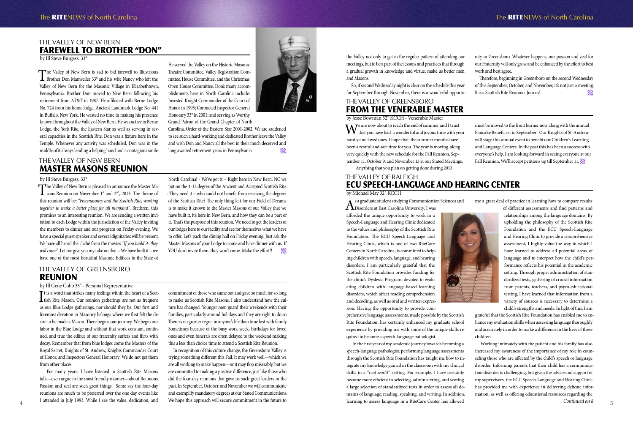### THE VALLEY OF NEW BERN FAREWELL TO BROTHER "DON"

by Ill Steve Burgess, 33°

The Valley of New Bern is sad to bid farewell to Illustrious<br>Brother Don Manweiler 33° and his wife Nancy who left the Valley of New Bern for the Masonic Village in Elizabethtown, Pennsylvania. Brother Don moved to New Bern following his retirement from AT&T in 1987. He affiliated with Berne Lodge No. 724 from his home lodge, Ancient Landmark Lodge No. 441 in Buffalo, New York. He wasted no time in making his presence known throughout the Valley of New Bern. He was active in Berne Lodge, the York Rite, the Eastern Star as well as serving in several capacities in the Scottish Rite. Don was a fixture here in the Temple. Whenever any activity was scheduled, Don was in the middle of it always lending a helping hand and a contagious smile.

He served the Valley on the Historic Masonic Theatre Committee, Valley Registration Committee, House Committee, and the Christmas Open House Committee. Don's many accomplishments here in North Carolina include: Invested Knight Commander of the Court of Honor in 1995; Coroneted Inspector General Honorary 33° in 2001; and serving as Worthy Grand Patron of the Grand Chapter of North

The Valley of New Bern is pleased to announce the Master Ma-<br>sons Reunion on November 1<sup>st</sup> and 2<sup>nd</sup>, 2013. The theme of this reunion will be: *"Freemasonry and the Scottish Rite, working together to make a better place for all mankind"*. Brethren, this promises to an interesting reunion. We are sending a written invitation to each Lodge within the jurisdiction of the Valley inviting the members to dinner and our program on Friday evening. We have a special guest speaker and several dignitaries will be present. We have all heard the cliché from the movies *"If you build it- they will come".* Let me give you my take on that – We have built it – we have one of the most beautiful Masonic Edifices in the State of

Carolina, Order of the Eastern Star 2001-2002. We are saddened to see such a hard-working and dedicated Brother leave the Valley and wish Don and Nancy all the best in their much deserved and long awaited retirement years in Pennsylvania.

to offer. Let's pack the dining hall on Friday evening. Just ask the Master Masons of your Lodge to come and have dinner with us. If YOU don't invite them, they won't come. Make the effort!!

### THE VALLEY OF NEW BERN MASTER MASONS REUNION

### by Ill Steve Burgess, 33°

It is a word that strikes many feelings within the heart of a Scot-<br>tish Rite Mason. Our reunion gatherings are not as frequent  $\mathbf{T}$ t is a word that strikes many feelings within the heart of a Scotas our Blue Lodge gatherings, nor should they be. Our first and foremost devotion in Masonry belongs where we first felt the desire to be made a Mason. There begins our journey. We begin our labor in the Blue Lodge and without that work constant, continued, and true the edifice of our fraternity suffers and flirts with decay. Remember that from blue lodges come the Masters of the Royal Secret, Knights of St. Andrew, Knights Commander Court of Honor, and Inspectors General Honorary! We do not get them from other places.

North Carolina! - We've got it – Right here in New Bern, NC we put on the 4-32 degree of the Ancient and Accepted Scottish Rite - They need it – who could not benefit from receiving the degrees of the Scottish Rite? The only thing left for our Field of Dreams is to make it known to the Master Masons of our Valley that we have built it, it's here in New Bern, and how they can be a part of it. That's the purpose of this reunion. We need to get the leaders of our lodges here to our facility and see for themselves what we have

### THE VALLEY OF GREENSBORO REUNION

### by Ill Gene Cobb 33° - Personal Representative

In the first year of my academic journey towards becoming a speech-language pathologist, performing language assessments through the Scottish Rite Foundation has taught me how to integrate my knowledge gained in the classroom with my clinical skills in a "*real-world*" setting. For example, I have certainly become more efficient in selecting, administering, and scoring a large selection of standardized tests in order to assess all domains of language: reading, speaking, and writing. In addition, learning to assess language in a RiteCare Center has allowed and the set of the value, dedication, and the the distribution will secure communication in the nume to the searching to assess anguage in a KiteCare Center has allowed Continued on  $\delta$ 

 For many years, I have listened to Scottish Rite Masons talk—even argue in the most friendly manner—about Reunions. Passion and zeal are such great things! Some say the four-day reunions are much to be preferred over the one day events like I attended in July 1993. While I see the value, dedication, and

commitment of those who came out and gave so much for so long to make us Scottish Rite Masons, I also understand how the culture has changed. Younger men guard their weekends with their families, particularly around holidays and they are right to do so. There is no greater regret in anyone's life than time lost with family. Sometimes because of the busy work week, birthdays for loved ones and even funerals are often delayed to the weekend making this a less than choice time to attend a Scottish Rite Reunion.

We are now about to reach the end of summer and I trust<br>that you have had a wonderful and joyous time with your family and loved ones. I hope that the summer months have been a restful and safe time for you. The year is moving along very quickly with the new schedule for the Fall Reunion, September 11, October 9, and November 13 at our Stated Meetings.

must be moved to the front burner now along with the annual Pancake Benefit set in September . Our Knights of St. Andrew will stage this annual event to benefit our Children's Learning and Language Centers. In the past this has been a success with everyone's help. I am looking forward in seeing everyone at our Fall Reunion. We'll accept petitions up till September 11.  $\mathcal{W}_{\ell}$ 

In recognition of this culture change, the Greensboro Valley is trying something different this Fall. It may work well—which we are all working to make happen—or it may flop miserably, but we are committed to making a positive difference, just like those who did the four-day reunions that gave us such great leaders in the past. In September, October, and November we will communicate and exemplify mandatory degrees at our Stated Communications. We hope this approach will secure commitment in the future to



### THE VALLEY OF RALEIGH ECU SPEECH-LANGUAGE AND HEARING CENTER by Michael May 32˚ KCCH

As a graduate student studying Communication Sciences and Disorders at East Carolina University, I was

afforded the unique opportunity to work in a Speech-Language and Hearing Clinic dedicated to the values and philosophy of the Scottish Rite Foundation. The ECU Speech-Language and Hearing Clinic, which is one of two RiteCare Centers in North Carolina, is committed to helping children with speech, language, and hearing disorders. I am particularly grateful that the Scottish Rite Foundation provides funding for the clinic's Dyslexia Program, devoted to evaluating children with language-based learning disorders, which affect reading comprehension and decoding, as well as oral and written expression. Having the opportunity to provide com-

prehensive language assessments, made possible by the Scottish Rite Foundation, has certainly enhanced my graduate school experience by providing me with some of the unique skills required to become a speech-language pathologist.

me a great deal of practice in learning how to compare results of different assessments and find patterns and relationships among the language domains. By upholding the philosophy of the Scottish Rite Foundation and the ECU Speech-Language and Hearing Clinic to provide a comprehensive assessment, I highly value the way in which I have learned to address all potential areas of language and to interpret how the child's performance reflects his potential in the academic setting. Through proper administration of standardized tests, gathering of crucial information from parents, teachers, and psyco-educational testing, I have learned that information from a variety of sources is necessary to determine a

child's strengths and needs. In light of this, I am grateful that the Scottish Rite Foundation has enabled me to enhance my evaluation skills when assessing language thoroughly and accurately in order to make a difference in the lives of these

children.

### THE VALLEY OF GREENSBORO FROM THE VENERABLE MASTER

by Jesse Bowman 32˚ KCCH - Venerable Master

Anything that you plan on getting done during 2013

Working intimately with the patient and his family has also increased my awareness of the importance of my role in counseling those who are affected by the child's speech or language disorder. Informing parents that their child has a communication disorder is challenging, but given the advice and support of my supervisors, the ECU Speech-Language and Hearing Clinic has provided me with experience in delivering delicate information, as well as offering educational resources regarding the *Continued on 8*

the Valley not only to get in the regular pattern of attending our meetings, but to be a part of the lessons and practices that through a gradual growth in knowledge and virtue, make us better men and Masons.

So, if second Wednesday night is clear on the schedule this year for September through November, there is a wonderful opportunity in Greensboro. Whatever happens, our passion and zeal for our Fraternity will only grow and be enhanced by the effort to best work and best agree.

Therefore, beginning in Greensboro on the second Wednesday of this September, October, and November, it's not just a meeting. It is a Scottish Rite Reunion. Join us!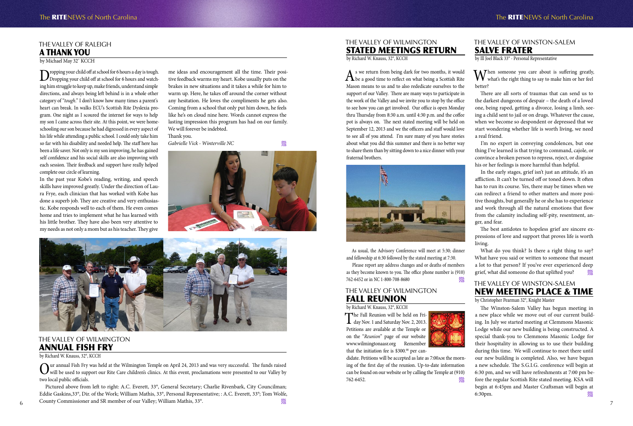### THE VALLEY OF RALEIGH A THANK YOU

by Michael May 32˚ KCCH

Dropping your child off at school for 6 hours a day is tough.<br>Dropping your child off at school for 6 hours and watching him struggle to keep up, make friends, understand simple directions, and always being left behind is in a whole other category of "*tough*." I don't know how many times a parent's heart can break. In walks ECU's Scottish Rite Dyslexia program. One night as I scoured the internet for ways to help my son I came across their site. At this point, we were homeschooling our son because he had digressed in every aspect of his life while attending a public school. I could only take him so far with his disability and needed help. The staff here has been a life saver. Not only is my son improving, he has gained self confidence and his social skills are also improving with each session. Their feedback and support have really helped complete our circle of learning.

 $\sum$ ur annual Fish Fry was held at the Wilmington Temple on April 24, 2013 and was very successful. The funds raised<br>will be used to support our Rite Care children's clinics. At this event, proclamations were presented to two local public officials.

In the past year Kobe's reading, writing, and speech skills have improved greatly. Under the direction of Laura Frye, each clinician that has worked with Kobe has done a superb job. They are creative and very enthusiastic. Kobe responds well to each of them. He even comes home and tries to implement what he has learned with his little brother. They have also been very attentive to my needs as not only a mom but as his teacher. They give

me ideas and encouragement all the time. Their positive feedback warms my heart. Kobe usually puts on the brakes in new situations and it takes a while for him to warm up. Here, he takes off around the corner without any hesitation. He loves the compliments he gets also. Coming from a school that only put him down, he feels like he's on cloud nine here. Words cannot express the lasting impression this program has had on our family. We will forever be indebted.

 $\Lambda$  s we return from being dark for two months, it would  $\Lambda$  be a good time to reflect on what being a Scottish Rite Mason means to us and to also rededicate ourselves to the support of our Valley. There are many ways to participate in the work of the Valley and we invite you to stop by the office to see how you can get involved. Our office is open Monday thru Thursday from 8:30 a.m. until 4:30 p.m. and the coffee pot is always on. The next stated meeting will be held on September 12, 2013 and we the officers and staff would love to see all of you attend. I'm sure many of you have stories about what you did this summer and there is no better way to share them than by sitting down to a nice dinner with your fraternal brothers.



Thank you.

*Gabrielle Vick - Winterville NC*





### THE VALLEY OF WILMINGTON ANNUAL FISH FRY

by Richard W. Knauss, 32°, KCCH

6 7 County Commissioner and SR member of our Valley; William Mathis, 33°. Pictured above from left to right: A.C. Everett, 33°, General Secretary; Charlie Rivenbark, City Councilman; Eddie Gaskins,33°, Dir. of the Work; William Mathis, 33°, Personal Representative; : A.C. Everett, 33°; Tom Wolfe,

### THE VALLEY OF WILMINGTON STATED MEETINGS RETURN

by Richard W. Knauss, 32°, KCCH

What do you think? Is there a right thing to say? What have you said or written to someone that meant a lot to that person? If you've ever experienced deep grief, what did someone do that uplifted you?

The Winston-Salem Valley has begun meeting in a new place while we move out of our current building. In July we started meeting at Clemmons Masonic Lodge while our new building is being constructed. A special thank-you to Clemmons Masonic Lodge for their hospitality in allowing us to use their building during this time. We will continue to meet there until our new building is completed. Also, we have begun a new schedule. The S.G.I.G. conference will begin at 6:30 pm, and we will have refreshments at 7:00 pm before the regular Scottish Rite stated meeting. KSA will begin at 6:45pm and Master Craftsman will begin at  $6:30 \text{pm}$ .

As usual, the Advisory Conference will meet at 5:30; dinner and fellowship at 6:30 followed by the stated meeting at 7:30.

Please report any address changes and or deaths of members as they become known to you. The office phone number is (910) 762-6452 or in NC 1-800-708-8680

### THE VALLEY OF WILMINGTON FALL REUNION

by Richard W. Knauss, 32°, KCCH

The Fall Reunion will be held on Fri-<br>day Nov. 1 and Saturday Nov. 2, 2013. Petitions are available at the Temple or on the "*Reunion*" page of our website www.wilmingtonaasr.org Remember that the initiation fee is  $$300.^{\circ}$  per can-



didate. Petitions will be accepted as late as 7:00am the morning of the first day of the reunion. Up-to-date information can be found on our website or by calling the Temple at (910) 762-6452.

### THE VALLEY OF WINSTON-SALEM SALVE FRATER

by Ill Joel Black 33° - Personal Representative

When someone you care about is suffering greatly, what's the right thing to say to make him or her feel

better?

There are all sorts of traumas that can send us to the darkest dungeons of despair – the death of a loved one, being raped, getting a divorce, losing a limb, seeing a child sent to jail or on drugs. Whatever the cause, when we become so despondent or depressed that we start wondering whether life is worth living, we need a real friend.

I'm no expert in conveying condolences, but one thing I've learned is that trying to command, cajole, or convince a broken person to repress, reject, or disguise his or her feelings is more harmful than helpful.

In the early stages, grief isn't just an attitude, it's an affliction. It can't be turned off or toned down. It often has to run its course. Yes, there may be times when we can redirect a friend to other matters and more positive thoughts, but generally he or she has to experience and work through all the natural emotions that flow from the calamity including self-pity, resentment, an-

ger, and fear. living.

The best antidotes to hopeless grief are sincere expressions of love and support that proves life is worth

# THE VALLEY OF WINSTON-SALEM NEW MEETING PLACE & TIME

by Christopher Pearman 32°, Knight Master